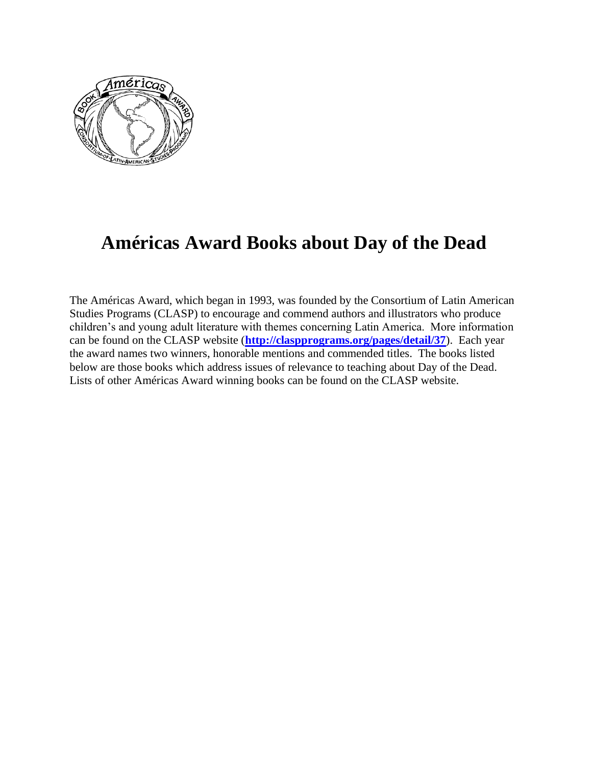

## **Américas Award Books about Day of the Dead**

The Américas Award, which began in 1993, was founded by the Consortium of Latin American Studies Programs (CLASP) to encourage and commend authors and illustrators who produce children's and young adult literature with themes concerning Latin America. More information can be found on the CLASP website (**<http://claspprograms.org/pages/detail/37>**). Each year the award names two winners, honorable mentions and commended titles. The books listed below are those books which address issues of relevance to teaching about Day of the Dead. Lists of other Américas Award winning books can be found on the CLASP website.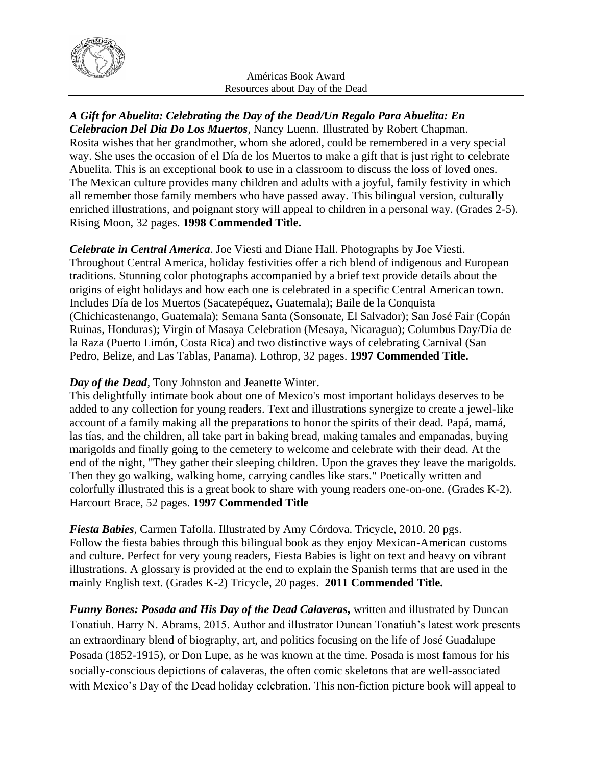

## *A Gift for Abuelita: Celebrating the Day of the Dead/Un Regalo Para Abuelita: En*

*Celebracion Del Dia Do Los Muertos*, Nancy Luenn. Illustrated by Robert Chapman. Rosita wishes that her grandmother, whom she adored, could be remembered in a very special way. She uses the occasion of el Día de los Muertos to make a gift that is just right to celebrate Abuelita. This is an exceptional book to use in a classroom to discuss the loss of loved ones. The Mexican culture provides many children and adults with a joyful, family festivity in which all remember those family members who have passed away. This bilingual version, culturally enriched illustrations, and poignant story will appeal to children in a personal way. (Grades 2-5). Rising Moon, 32 pages. **1998 Commended Title.**

*Celebrate in Central America*. Joe Viesti and Diane Hall. Photographs by Joe Viesti. Throughout Central America, holiday festivities offer a rich blend of indigenous and European traditions. Stunning color photographs accompanied by a brief text provide details about the origins of eight holidays and how each one is celebrated in a specific Central American town. Includes Día de los Muertos (Sacatepéquez, Guatemala); Baile de la Conquista (Chichicastenango, Guatemala); Semana Santa (Sonsonate, El Salvador); San José Fair (Copán Ruinas, Honduras); Virgin of Masaya Celebration (Mesaya, Nicaragua); Columbus Day/Día de la Raza (Puerto Limón, Costa Rica) and two distinctive ways of celebrating Carnival (San Pedro, Belize, and Las Tablas, Panama). Lothrop, 32 pages. **1997 Commended Title.**

## *Day of the Dead,* Tony Johnston and Jeanette Winter.

This delightfully intimate book about one of Mexico's most important holidays deserves to be added to any collection for young readers. Text and illustrations synergize to create a jewel-like account of a family making all the preparations to honor the spirits of their dead. Papá, mamá, las tías, and the children, all take part in baking bread, making tamales and empanadas, buying marigolds and finally going to the cemetery to welcome and celebrate with their dead. At the end of the night, "They gather their sleeping children. Upon the graves they leave the marigolds. Then they go walking, walking home, carrying candles like stars." Poetically written and colorfully illustrated this is a great book to share with young readers one-on-one. (Grades K-2). Harcourt Brace, 52 pages. **1997 Commended Title**

*Fiesta Babies*, Carmen Tafolla. Illustrated by Amy Córdova. Tricycle, 2010. 20 pgs. Follow the fiesta babies through this bilingual book as they enjoy Mexican-American customs and culture. Perfect for very young readers, Fiesta Babies is light on text and heavy on vibrant illustrations. A glossary is provided at the end to explain the Spanish terms that are used in the mainly English text. (Grades K-2) Tricycle, 20 pages. **2011 Commended Title.**

*Funny Bones: Posada and His Day of the Dead Calaveras,* written and illustrated by Duncan Tonatiuh. Harry N. Abrams, 2015. Author and illustrator Duncan Tonatiuh's latest work presents an extraordinary blend of biography, art, and politics focusing on the life of José Guadalupe Posada (1852-1915), or Don Lupe, as he was known at the time. Posada is most famous for his socially-conscious depictions of calaveras, the often comic skeletons that are well-associated with Mexico's Day of the Dead holiday celebration. This non-fiction picture book will appeal to